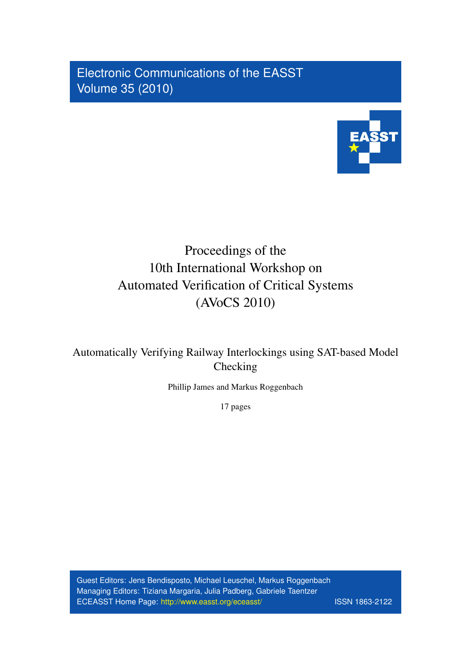Electronic Communications of the EASST Volume 35 (2010)



# Proceedings of the 10th International Workshop on Automated Verification of Critical Systems (AVoCS 2010)

Automatically Verifying Railway Interlockings using SAT-based Model Checking

Phillip James and Markus Roggenbach

17 pages

Guest Editors: Jens Bendisposto, Michael Leuschel, Markus Roggenbach Managing Editors: Tiziana Margaria, Julia Padberg, Gabriele Taentzer ECEASST Home Page: <http://www.easst.org/eceasst/> ISSN 1863-2122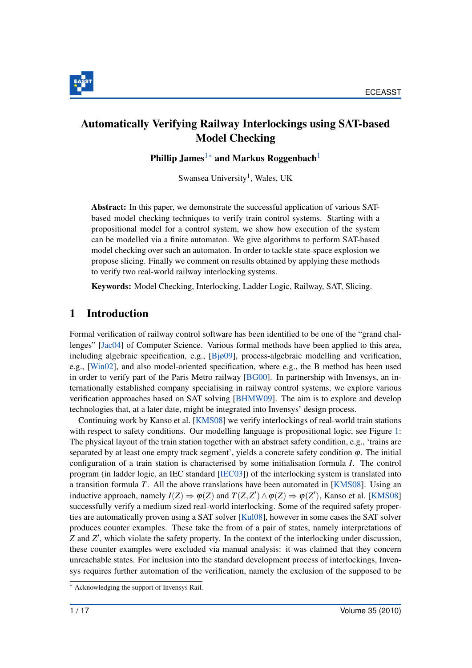

# Automatically Verifying Railway Interlockings using SAT-based Model Checking

Phillip James<sup>[1](#page-1-0)</sup><sup>[∗](#page-1-1)</sup> and Markus Roggenbach<sup>1</sup>

<span id="page-1-0"></span>Swansea University<sup>1</sup>, Wales, UK

Abstract: In this paper, we demonstrate the successful application of various SATbased model checking techniques to verify train control systems. Starting with a propositional model for a control system, we show how execution of the system can be modelled via a finite automaton. We give algorithms to perform SAT-based model checking over such an automaton. In order to tackle state-space explosion we propose slicing. Finally we comment on results obtained by applying these methods to verify two real-world railway interlocking systems.

Keywords: Model Checking, Interlocking, Ladder Logic, Railway, SAT, Slicing.

# 1 Introduction

Formal verification of railway control software has been identified to be one of the "grand challenges" [\[Jac04\]](#page-17-0) of Computer Science. Various formal methods have been applied to this area, including algebraic specification, e.g.,  $[Bj\omega 09]$ , process-algebraic modelling and verification, e.g., [\[Win02\]](#page-17-1), and also model-oriented specification, where e.g., the B method has been used in order to verify part of the Paris Metro railway [\[BG00\]](#page-16-1). In partnership with Invensys, an internationally established company specialising in railway control systems, we explore various verification approaches based on SAT solving [\[BHMW09\]](#page-16-2). The aim is to explore and develop technologies that, at a later date, might be integrated into Invensys' design process.

Continuing work by Kanso et al. [\[KMS08\]](#page-17-2) we verify interlockings of real-world train stations with respect to safety conditions. Our modelling language is propositional logic, see Figure [1:](#page-2-0) The physical layout of the train station together with an abstract safety condition, e.g., 'trains are separated by at least one empty track segment', yields a concrete safety condition  $\varphi$ . The initial configuration of a train station is characterised by some initialisation formula *I*. The control program (in ladder logic, an IEC standard [\[IEC03\]](#page-17-3)) of the interlocking system is translated into a transition formula *T*. All the above translations have been automated in [\[KMS08\]](#page-17-2). Using an inductive approach, namely  $I(Z) \Rightarrow \varphi(Z)$  and  $T(Z, Z') \wedge \varphi(Z) \Rightarrow \varphi(Z')$ , Kanso et al. [\[KMS08\]](#page-17-2) successfully verify a medium sized real-world interlocking. Some of the required safety properties are automatically proven using a SAT solver [\[Kul08\]](#page-17-4), however in some cases the SAT solver produces counter examples. These take the from of a pair of states, namely interpretations of *Z* and *Z'*, which violate the safety property. In the context of the interlocking under discussion, these counter examples were excluded via manual analysis: it was claimed that they concern unreachable states. For inclusion into the standard development process of interlockings, Invensys requires further automation of the verification, namely the exclusion of the supposed to be

<span id="page-1-1"></span><sup>∗</sup> Acknowledging the support of Invensys Rail.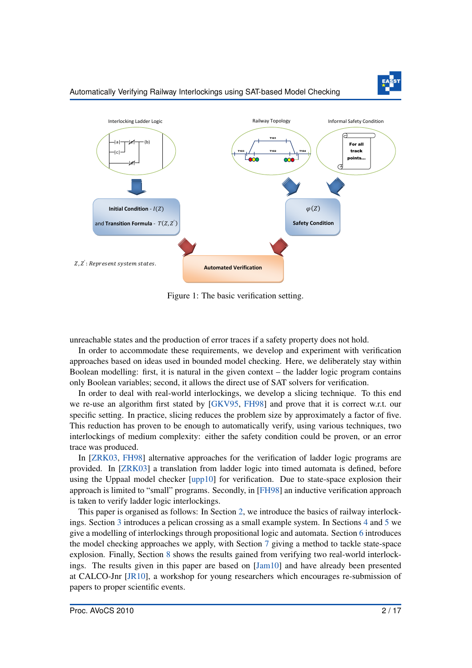

#### Automatically Verifying Railway Interlockings using SAT-based Model Checking

<span id="page-2-0"></span>

Figure 1: The basic verification setting.

unreachable states and the production of error traces if a safety property does not hold.

In order to accommodate these requirements, we develop and experiment with verification approaches based on ideas used in bounded model checking. Here, we deliberately stay within Boolean modelling: first, it is natural in the given context – the ladder logic program contains only Boolean variables; second, it allows the direct use of SAT solvers for verification.

In order to deal with real-world interlockings, we develop a slicing technique. To this end we re-use an algorithm first stated by [\[GKV95,](#page-17-5) [FH98\]](#page-16-3) and prove that it is correct w.r.t. our specific setting. In practice, slicing reduces the problem size by approximately a factor of five. This reduction has proven to be enough to automatically verify, using various techniques, two interlockings of medium complexity: either the safety condition could be proven, or an error trace was produced.

In [\[ZRK03,](#page-17-6) [FH98\]](#page-16-3) alternative approaches for the verification of ladder logic programs are provided. In [\[ZRK03\]](#page-17-6) a translation from ladder logic into timed automata is defined, before using the Uppaal model checker [\[upp10\]](#page-17-7) for verification. Due to state-space explosion their approach is limited to "small" programs. Secondly, in [\[FH98\]](#page-16-3) an inductive verification approach is taken to verify ladder logic interlockings.

This paper is organised as follows: In Section [2,](#page-3-0) we introduce the basics of railway interlockings. Section [3](#page-3-1) introduces a pelican crossing as a small example system. In Sections [4](#page-4-0) and [5](#page-5-0) we give a modelling of interlockings through propositional logic and automata. Section [6](#page-8-0) introduces the model checking approaches we apply, with Section [7](#page-10-0) giving a method to tackle state-space explosion. Finally, Section [8](#page-14-0) shows the results gained from verifying two real-world interlockings. The results given in this paper are based on [\[Jam10\]](#page-17-8) and have already been presented at CALCO-Jnr [\[JR10\]](#page-17-9), a workshop for young researchers which encourages re-submission of papers to proper scientific events.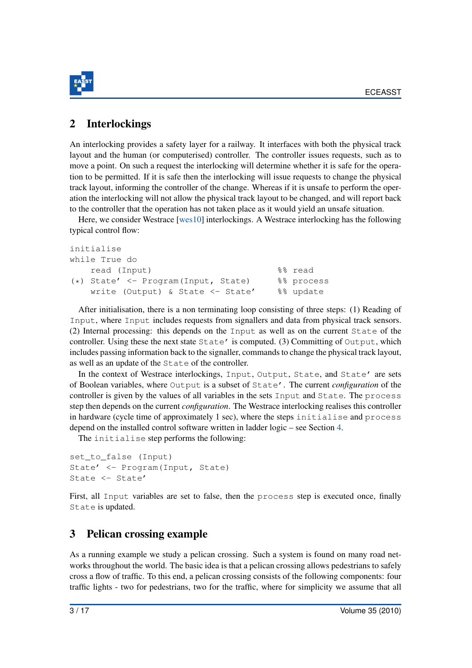

# <span id="page-3-0"></span>2 Interlockings

An interlocking provides a safety layer for a railway. It interfaces with both the physical track layout and the human (or computerised) controller. The controller issues requests, such as to move a point. On such a request the interlocking will determine whether it is safe for the operation to be permitted. If it is safe then the interlocking will issue requests to change the physical track layout, informing the controller of the change. Whereas if it is unsafe to perform the operation the interlocking will not allow the physical track layout to be changed, and will report back to the controller that the operation has not taken place as it would yield an unsafe situation.

Here, we consider Westrace [\[wes10\]](#page-17-10) interlockings. A Westrace interlocking has the following typical control flow:

```
initialise
while True do
   read (Input) %% read
(*) State' <- Program(Input, State) %% process
   write (Output) & State <- State' %% update
```
After initialisation, there is a non terminating loop consisting of three steps: (1) Reading of Input, where Input includes requests from signallers and data from physical track sensors. (2) Internal processing: this depends on the Input as well as on the current State of the controller. Using these the next state State' is computed. (3) Committing of Output, which includes passing information back to the signaller, commands to change the physical track layout, as well as an update of the State of the controller.

In the context of Westrace interlockings, Input, Output, State, and State' are sets of Boolean variables, where Output is a subset of State'. The current *configuration* of the controller is given by the values of all variables in the sets Input and State. The process step then depends on the current *configuration*. The Westrace interlocking realises this controller in hardware (cycle time of approximately 1 sec), where the steps initialise and process depend on the installed control software written in ladder logic – see Section [4.](#page-4-0)

The initialise step performs the following:

```
set to false (Input)
State' <- Program(Input, State)
State <- State'
```
First, all Input variables are set to false, then the process step is executed once, finally State is updated.

# <span id="page-3-1"></span>3 Pelican crossing example

As a running example we study a pelican crossing. Such a system is found on many road networks throughout the world. The basic idea is that a pelican crossing allows pedestrians to safely cross a flow of traffic. To this end, a pelican crossing consists of the following components: four traffic lights - two for pedestrians, two for the traffic, where for simplicity we assume that all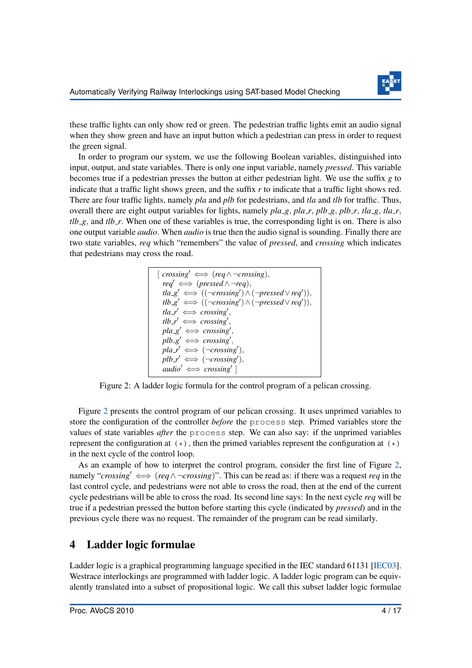

these traffic lights can only show red or green. The pedestrian traffic lights emit an audio signal when they show green and have an input button which a pedestrian can press in order to request the green signal.

In order to program our system, we use the following Boolean variables, distinguished into input, output, and state variables. There is only one input variable, namely *pressed*. This variable becomes true if a pedestrian presses the button at either pedestrian light. We use the suffix *g* to indicate that a traffic light shows green, and the suffix *r* to indicate that a traffic light shows red. There are four traffic lights, namely *pla* and *plb* for pedestrians, and *tla* and *tlb* for traffic. Thus, overall there are eight output variables for lights, namely *pla g*, *pla r*, *plb g*, *plb r*, *tla g*, *tla r*,  $tlb_8$ , and  $tb_7$ . When one of these variables is true, the corresponding light is on. There is also one output variable *audio*. When *audio* is true then the audio signal is sounding. Finally there are two state variables, *req* which "remembers" the value of *pressed*, and *crossing* which indicates that pedestrians may cross the road.

<span id="page-4-1"></span>

Figure 2: A ladder logic formula for the control program of a pelican crossing.

Figure [2](#page-4-1) presents the control program of our pelican crossing. It uses unprimed variables to store the configuration of the controller *before* the process step. Primed variables store the values of state variables *after* the process step. We can also say: if the unprimed variables represent the configuration at  $(\star)$ , then the primed variables represent the configuration at  $(\star)$ in the next cycle of the control loop.

As an example of how to interpret the control program, consider the first line of Figure [2,](#page-4-1) namely "*crossing'*  $\iff (req \land \neg crossing)$ ". This can be read as: if there was a request *req* in the last control cycle, and pedestrians were not able to cross the road, then at the end of the current cycle pedestrians will be able to cross the road. Its second line says: In the next cycle *req* will be true if a pedestrian pressed the button before starting this cycle (indicated by *pressed*) and in the previous cycle there was no request. The remainder of the program can be read similarly.

# <span id="page-4-0"></span>4 Ladder logic formulae

Ladder logic is a graphical programming language specified in the IEC standard 61131 [\[IEC03\]](#page-17-3). Westrace interlockings are programmed with ladder logic. A ladder logic program can be equivalently translated into a subset of propositional logic. We call this subset ladder logic formulae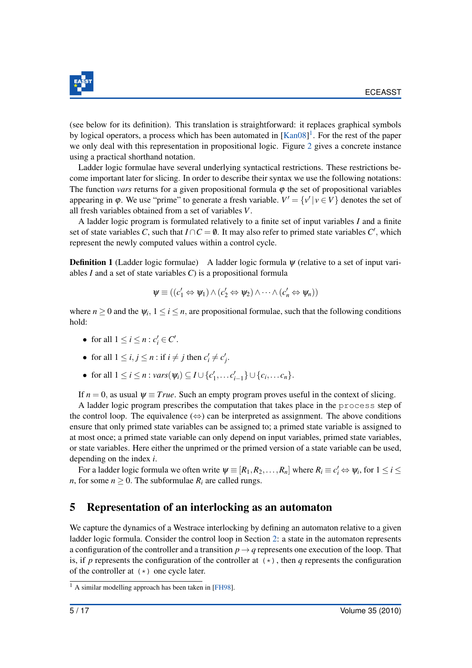

(see below for its definition). This translation is straightforward: it replaces graphical symbols by logical operators, a process which has been automated in  $[Kan08]^1$  $[Kan08]^1$  $[Kan08]^1$ . For the rest of the paper we only deal with this representation in propositional logic. Figure [2](#page-4-1) gives a concrete instance using a practical shorthand notation.

Ladder logic formulae have several underlying syntactical restrictions. These restrictions become important later for slicing. In order to describe their syntax we use the following notations: The function *vars* returns for a given propositional formula  $\varphi$  the set of propositional variables appearing in  $\varphi$ . We use "prime" to generate a fresh variable.  $V' = \{v' | v \in V\}$  denotes the set of all fresh variables obtained from a set of variables *V*.

A ladder logic program is formulated relatively to a finite set of input variables *I* and a finite set of state variables *C*, such that  $I \cap C = \emptyset$ . It may also refer to primed state variables *C'*, which represent the newly computed values within a control cycle.

**Definition 1** (Ladder logic formulae) A ladder logic formula  $\psi$  (relative to a set of input variables *I* and a set of state variables *C*) is a propositional formula

$$
\psi \equiv ((c'_1 \Leftrightarrow \psi_1) \wedge (c'_2 \Leftrightarrow \psi_2) \wedge \cdots \wedge (c'_n \Leftrightarrow \psi_n))
$$

where  $n \geq 0$  and the  $\psi_i$ ,  $1 \leq i \leq n$ , are propositional formulae, such that the following conditions hold:

- for all  $1 \le i \le n : c'_i \in C'.$
- for all  $1 \le i, j \le n$ : if  $i \ne j$  then  $c'_i \ne c'_j$ .
- for all  $1 \le i \le n$  : *vars*( $ψ<sub>i</sub>$ ) ⊆  $I \cup \{c'_{1}, \ldots c'_{i-1}\} \cup \{c_{i}, \ldots c_{n}\}.$

If  $n = 0$ , as usual  $\psi \equiv True$ . Such an empty program proves useful in the context of slicing.

A ladder logic program prescribes the computation that takes place in the process step of the control loop. The equivalence  $(\Leftrightarrow)$  can be interpreted as assignment. The above conditions ensure that only primed state variables can be assigned to; a primed state variable is assigned to at most once; a primed state variable can only depend on input variables, primed state variables, or state variables. Here either the unprimed or the primed version of a state variable can be used, depending on the index *i*.

For a ladder logic formula we often write  $\psi \equiv [R_1, R_2, \dots, R_n]$  where  $R_i \equiv c'_i \Leftrightarrow \psi_i$ , for  $1 \leq i \leq n$ *n*, for some  $n \geq 0$ . The subformulae  $R_i$  are called rungs.

# <span id="page-5-0"></span>5 Representation of an interlocking as an automaton

We capture the dynamics of a Westrace interlocking by defining an automaton relative to a given ladder logic formula. Consider the control loop in Section [2:](#page-3-0) a state in the automaton represents a configuration of the controller and a transition  $p \rightarrow q$  represents one execution of the loop. That is, if p represents the configuration of the controller at  $(\star)$ , then q represents the configuration of the controller at (\*) one cycle later.

<span id="page-5-1"></span> $\frac{1}{1}$  A similar modelling approach has been taken in [\[FH98\]](#page-16-3).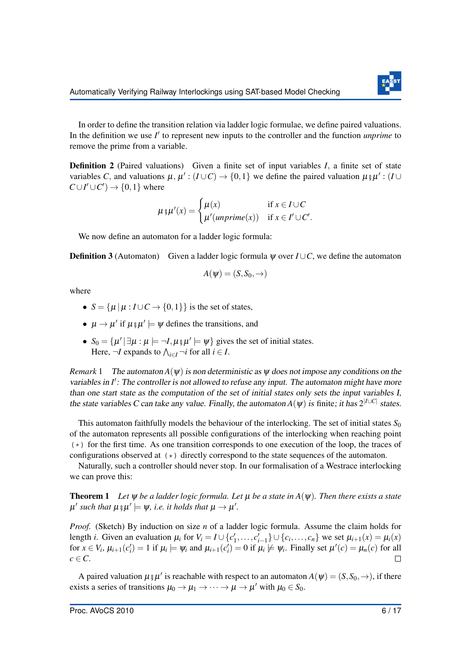

In order to define the transition relation via ladder logic formulae, we define paired valuations. In the definition we use  $I'$  to represent new inputs to the controller and the function *unprime* to remove the prime from a variable.

Definition 2 (Paired valuations) Given a finite set of input variables *I*, a finite set of state variables C, and valuations  $\mu$ ,  $\mu'$ :  $(I \cup C) \rightarrow \{0,1\}$  we define the paired valuation  $\mu \circ \mu'$ :  $(I \cup C)$  $C \cup I' \cup C'$   $\rightarrow$  {0,1} where

$$
\mu \mathfrak{z} \mu'(x) = \begin{cases} \mu(x) & \text{if } x \in I \cup C \\ \mu'(unprime(x)) & \text{if } x \in I' \cup C'. \end{cases}
$$

We now define an automaton for a ladder logic formula:

Definition 3 (Automaton) Given a ladder logic formula ψ over *I* ∪*C*, we define the automaton

$$
A(\psi)=(S,S_0,\rightarrow)
$$

where

- $S = {\mu | \mu : I \cup C \rightarrow \{0,1\}}$  is the set of states,
- $\mu \rightarrow \mu'$  if  $\mu \xi \mu' \models \psi$  defines the transitions, and
- $S_0 = {\mu' | \exists \mu : \mu \models \neg I, \mu \, \mathfrak{z} \, \mu' \models \psi}$  gives the set of initial states. Here,  $\neg I$  expands to  $\bigwedge_{i \in I} \neg i$  for all  $i \in I$ .

*Remark* 1 The automaton  $A(\psi)$  is non deterministic as  $\psi$  does not impose any conditions on the variables in I': The controller is not allowed to refuse any input. The automaton might have more than one start state as the computation of the set of initial states only sets the input variables I, the state variables C can take any value. Finally, the automaton  $A(\psi)$  is finite; it has  $2^{|I\cup C|}$  states.

This automaton faithfully models the behaviour of the interlocking. The set of initial states  $S_0$ of the automaton represents all possible configurations of the interlocking when reaching point  $(\star)$  for the first time. As one transition corresponds to one execution of the loop, the traces of configurations observed at (\*) directly correspond to the state sequences of the automaton.

Naturally, such a controller should never stop. In our formalisation of a Westrace interlocking we can prove this:

<span id="page-6-0"></span>Theorem 1 *Let* ψ *be a ladder logic formula. Let* µ *be a state in A*(ψ)*. Then there exists a state*  $\mu'$  such that  $\mu \, \S \, \mu' \models \psi$ , i.e. it holds that  $\mu \to \mu'.$ 

*Proof.* (Sketch) By induction on size *n* of a ladder logic formula. Assume the claim holds for length *i*. Given an evaluation  $\mu_i$  for  $V_i = I \cup \{c'_1, \ldots, c'_{i-1}\} \cup \{c_i, \ldots, c_n\}$  we set  $\mu_{i+1}(x) = \mu_i(x)$ for  $x \in V_i$ ,  $\mu_{i+1}(c'_i) = 1$  if  $\mu_i \models \psi_i$  and  $\mu_{i+1}(c'_i) = 0$  if  $\mu_i \not\models \psi_i$ . Finally set  $\mu'(c) = \mu_n(c)$  for all  $c \in \mathbb{C}$ .

A paired valuation  $\mu$   $_{\beta}\mu'$  is reachable with respect to an automaton  $A(\psi) = (S, S_0, \rightarrow)$ , if there exists a series of transitions  $\mu_0 \to \mu_1 \to \cdots \to \mu \to \mu'$  with  $\mu_0 \in S_0$ .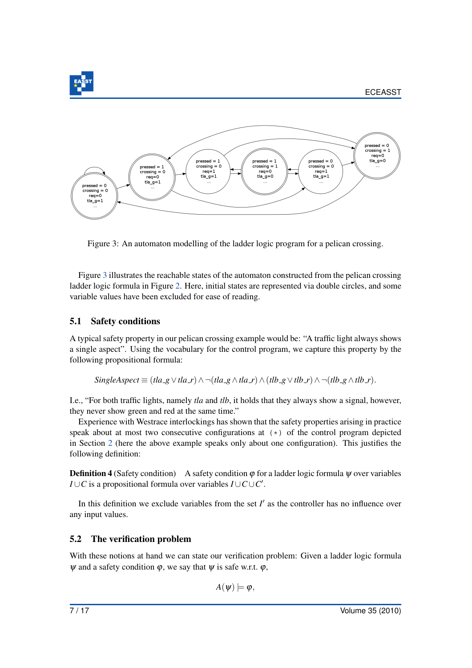<span id="page-7-0"></span>

Figure 3: An automaton modelling of the ladder logic program for a pelican crossing.

Figure [3](#page-7-0) illustrates the reachable states of the automaton constructed from the pelican crossing ladder logic formula in Figure [2.](#page-4-1) Here, initial states are represented via double circles, and some variable values have been excluded for ease of reading.

#### <span id="page-7-1"></span>5.1 Safety conditions

A typical safety property in our pelican crossing example would be: "A traffic light always shows a single aspect". Using the vocabulary for the control program, we capture this property by the following propositional formula:

*SingleAspect*  $\equiv (t \cdot l \cdot a \cdot g \vee t \cdot l \cdot a \cdot r) \wedge \neg (t \cdot l \cdot a \cdot g \wedge t \cdot l \cdot a \cdot r) \wedge (t \cdot l \cdot b \cdot g \vee t \cdot l \cdot b \cdot r) \wedge \neg (t \cdot l \cdot b \cdot g \wedge t \cdot l \cdot b \cdot r).$ 

I.e., "For both traffic lights, namely *tla* and *tlb*, it holds that they always show a signal, however, they never show green and red at the same time."

Experience with Westrace interlockings has shown that the safety properties arising in practice speak about at most two consecutive configurations at  $(*)$  of the control program depicted in Section [2](#page-3-0) (here the above example speaks only about one configuration). This justifies the following definition:

**Definition 4** (Safety condition) A safety condition  $\varphi$  for a ladder logic formula  $\psi$  over variables *I* ∪ *C* is a propositional formula over variables  $I \cup C \cup C'$ .

In this definition we exclude variables from the set  $I'$  as the controller has no influence over any input values.

### <span id="page-7-2"></span>5.2 The verification problem

With these notions at hand we can state our verification problem: Given a ladder logic formula  $\psi$  and a safety condition  $\varphi$ , we say that  $\psi$  is safe w.r.t.  $\varphi$ ,

$$
A(\psi) \models \varphi,
$$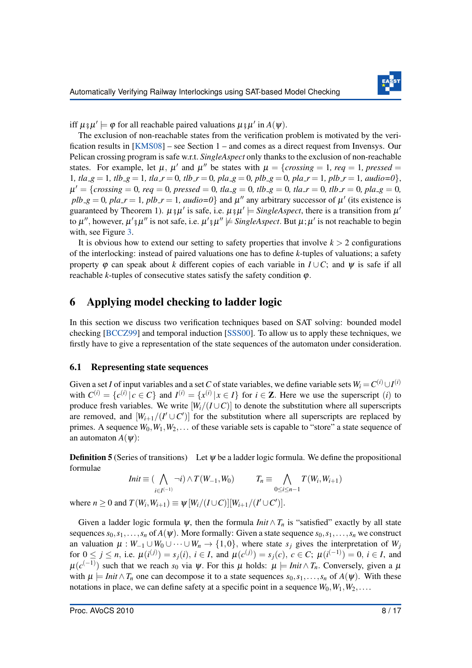

iff  $\mu \xi \mu' \models \varphi$  for all reachable paired valuations  $\mu \xi \mu'$  in  $A(\psi)$ .

The exclusion of non-reachable states from the verification problem is motivated by the verification results in [\[KMS08\]](#page-17-2) – see Section 1 – and comes as a direct request from Invensys. Our Pelican crossing program is safe w.r.t. *SingleAspect* only thanks to the exclusion of non-reachable states. For example, let  $\mu$ ,  $\mu'$  and  $\mu''$  be states with  $\mu = \{crossing = 1, \text{re}q = 1, \text{pressed} = 1\}$ 1*, tla\_g* = 1*, tlb\_g* = 1*, tla\_r* = 0*, tlb\_r* = 0*, pla\_g* = 0*, plb\_g* = 0*, pla\_r* = 1*, plb\_r* = 1*, audio*=0<sup>}</sup>,  $\mu' = \{crossing = 0, \text{ }req = 0, \text{ }presed = 0, \text{ } tla\_g = 0, \text{ } tlb\_g = 0, \text{ } tla\_r = 0, \text{ } pla\_g = 0, \text{ } tla\_g = 0, \text{ } tla\_g = 0, \text{ } tla\_g = 0, \text{ } tla\_g = 0, \text{ } tla\_g = 0, \text{ } tpartial\_g = 0, \text{ } tpartial\_g = 0, \text{ } tpartial\_g = 0, \text{ } tpartial\_g = 0, \text{ } tpartial\_g = 0, \text{ } tpartial\_g = 0, \text{ } tpartial\_g =$  $plb-g = 0$ ,  $pla_r = 1$ ,  $plb_r = 1$ ,  $audio = 0$ } and  $\mu''$  any arbitrary successor of  $\mu'$  (its existence is guaranteed by Theorem 1).  $\mu_{\hat{y}}\mu'$  is safe, i.e.  $\mu_{\hat{y}}\mu' \models \text{SingleAspect},$  there is a transition from  $\mu'$ to  $\mu''$ , however,  $\mu'$   $_{\frac{8}{3}}\mu''$  is not safe, i.e.  $\mu'$   $_{\frac{8}{3}}\mu'' \not\models$  SingleAspect. But  $\mu$ ;  $\mu'$  is not reachable to begin with, see Figure [3.](#page-7-0)

It is obvious how to extend our setting to safety properties that involve  $k > 2$  configurations of the interlocking: instead of paired valuations one has to define *k*-tuples of valuations; a safety property  $\varphi$  can speak about *k* different copies of each variable in  $I \cup C$ ; and  $\psi$  is safe if all reachable  $k$ -tuples of consecutive states satisfy the safety condition  $\varphi$ .

# <span id="page-8-0"></span>6 Applying model checking to ladder logic

In this section we discuss two verification techniques based on SAT solving: bounded model checking [\[BCCZ99\]](#page-16-4) and temporal induction [\[SSS00\]](#page-17-12). To allow us to apply these techniques, we firstly have to give a representation of the state sequences of the automaton under consideration.

#### 6.1 Representing state sequences

Given a set *I* of input variables and a set *C* of state variables, we define variable sets  $W_i = C^{(i)} \cup I^{(i)}$ with  $C^{(i)} = \{c^{(i)} | c \in C\}$  and  $I^{(i)} = \{x^{(i)} | x \in I\}$  for  $i \in \mathbb{Z}$ . Here we use the superscript (*i*) to produce fresh variables. We write  $[W_i/(I \cup C)]$  to denote the substitution where all superscripts are removed, and  $[W_{i+1}/(I' \cup C')]$  for the substitution where all superscripts are replaced by primes. A sequence  $W_0, W_1, W_2, \ldots$  of these variable sets is capable to "store" a state sequence of an automaton  $A(\psi)$ :

**Definition 5** (Series of transitions) Let  $\psi$  be a ladder logic formula. We define the propositional formulae

$$
Init \equiv (\bigwedge_{i \in I^{(-1)}} \neg i) \land T(W_{-1}, W_0) \qquad T_n \equiv \bigwedge_{0 \leq i \leq n-1} T(W_i, W_{i+1})
$$

where  $n \ge 0$  and  $T(W_i, W_{i+1}) \equiv \psi[W_i/(I \cup C)][W_{i+1}/(I' \cup C')]$ .

Given a ladder logic formula  $\psi$ , then the formula *Init*  $\wedge T_n$  is "satisfied" exactly by all state sequences  $s_0, s_1, \ldots, s_n$  of  $A(\psi)$ . More formally: Given a state sequence  $s_0, s_1, \ldots, s_n$  we construct an valuation  $\mu : W_{-1} \cup W_0 \cup \cdots \cup W_n \to \{1,0\}$ , where state  $s_j$  gives the interpretation of  $W_j$ for  $0 \le j \le n$ , i.e.  $\mu(i^{(j)}) = s_j(i)$ ,  $i \in I$ , and  $\mu(c^{(j)}) = s_j(c)$ ,  $c \in C$ ;  $\mu(i^{(-1)}) = 0$ ,  $i \in I$ , and  $\mu(c^{(-1)})$  such that we reach *s*<sub>0</sub> via  $\psi$ . For this  $\mu$  holds:  $\mu \models$  *Init*  $\land$  *T<sub>n</sub>*. Conversely, given a  $\mu$ with  $\mu \models \text{Init} \land T_n$  one can decompose it to a state sequences  $s_0, s_1, \ldots, s_n$  of  $A(\psi)$ . With these notations in place, we can define safety at a specific point in a sequence  $W_0, W_1, W_2, \ldots$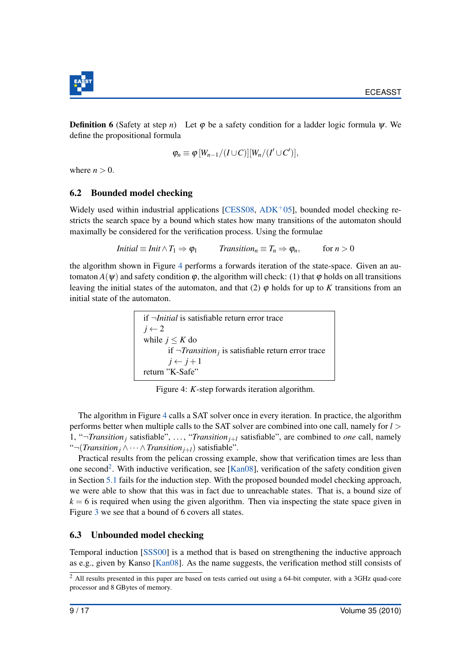

**Definition 6** (Safety at step *n*) Let  $\varphi$  be a safety condition for a ladder logic formula  $\psi$ . We define the propositional formula

$$
\varphi_n \equiv \varphi \, [W_{n-1}/(I \cup C)][W_n/(I' \cup C')],
$$

where  $n > 0$ .

#### 6.2 Bounded model checking

Widely used within industrial applications [\[CESS08,](#page-16-5)  $ADK<sup>+</sup>05$  $ADK<sup>+</sup>05$ ], bounded model checking restricts the search space by a bound which states how many transitions of the automaton should maximally be considered for the verification process. Using the formulae

$$
Initial \equiv Init \wedge T_1 \Rightarrow \varphi_1 \qquad Transition_n \equiv T_n \Rightarrow \varphi_n, \qquad \text{for } n > 0
$$

<span id="page-9-0"></span>the algorithm shown in Figure [4](#page-9-0) performs a forwards iteration of the state-space. Given an automaton  $A(\psi)$  and safety condition  $\varphi$ , the algorithm will check: (1) that  $\varphi$  holds on all transitions leaving the initial states of the automaton, and that  $(2)$   $\varphi$  holds for up to *K* transitions from an initial state of the automaton.

> if ¬*Initial* is satisfiable return error trace  $j \leftarrow 2$ while  $j \leq K$  do if ¬*Transition<sup>j</sup>* is satisfiable return error trace  $j \leftarrow j+1$ return "K-Safe"

Figure 4: *K*-step forwards iteration algorithm.

The algorithm in Figure [4](#page-9-0) calls a SAT solver once in every iteration. In practice, the algorithm performs better when multiple calls to the SAT solver are combined into one call, namely for *l* > 1, " $\neg$ *Transition<sub>j</sub>* satisfiable", ..., "*Transition<sub>j+l</sub>* satisfiable", are combined to *one* call, namely "¬(*Transition<sup>j</sup>* ∧··· ∧*Transitionj*+*l*) satisfiable".

Practical results from the pelican crossing example, show that verification times are less than one second<sup>[2](#page-9-1)</sup>. With inductive verification, see [\[Kan08\]](#page-17-11), verification of the safety condition given in Section [5.1](#page-7-1) fails for the induction step. With the proposed bounded model checking approach, we were able to show that this was in fact due to unreachable states. That is, a bound size of  $k = 6$  is required when using the given algorithm. Then via inspecting the state space given in Figure [3](#page-7-0) we see that a bound of 6 covers all states.

#### 6.3 Unbounded model checking

Temporal induction [\[SSS00\]](#page-17-12) is a method that is based on strengthening the inductive approach as e.g., given by Kanso [\[Kan08\]](#page-17-11). As the name suggests, the verification method still consists of

<span id="page-9-1"></span> $\frac{2}{3}$  All results presented in this paper are based on tests carried out using a 64-bit computer, with a 3GHz quad-core processor and 8 GBytes of memory.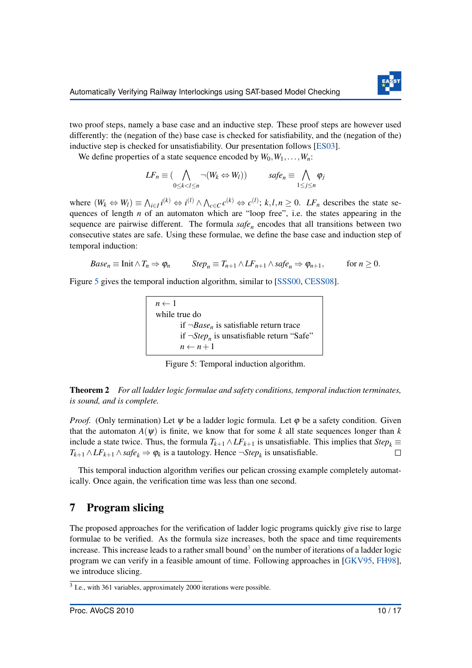

two proof steps, namely a base case and an inductive step. These proof steps are however used differently: the (negation of the) base case is checked for satisfiability, and the (negation of the) inductive step is checked for unsatisfiability. Our presentation follows [\[ES03\]](#page-16-7).

We define properties of a state sequence encoded by  $W_0, W_1, \ldots, W_n$ :

$$
LF_n \equiv (\bigwedge_{0 \le k < l \le n} \neg(W_k \Leftrightarrow W_l)) \qquad \quad safe_n \equiv \bigwedge_{1 \le j \le n} \varphi_j
$$

where  $(W_k \Leftrightarrow W_l) \equiv \bigwedge_{i \in I} i^{(k)} \Leftrightarrow i^{(l)} \wedge \bigwedge_{c \in C} c^{(k)} \Leftrightarrow c^{(l)}; k, l, n \ge 0$ . LF<sub>n</sub> describes the state sequences of length *n* of an automaton which are "loop free", i.e. the states appearing in the sequence are pairwise different. The formula  $\text{safe}_n$  encodes that all transitions between two consecutive states are safe. Using these formulae, we define the base case and induction step of temporal induction:

$$
Base_n \equiv \text{Init} \wedge T_n \Rightarrow \varphi_n \qquad Step_n \equiv T_{n+1} \wedge LF_{n+1} \wedge safe_n \Rightarrow \varphi_{n+1}, \qquad \text{for } n \geq 0.
$$

<span id="page-10-1"></span>Figure [5](#page-10-1) gives the temporal induction algorithm, similar to [\[SSS00,](#page-17-12) [CESS08\]](#page-16-5).

 $n \leftarrow 1$ while true do if ¬*Base<sup>n</sup>* is satisfiable return trace if  $\neg Step<sub>n</sub>$  is unsatisfiable return "Safe"  $n \leftarrow n+1$ 

Figure 5: Temporal induction algorithm.

Theorem 2 *For all ladder logic formulae and safety conditions, temporal induction terminates, is sound, and is complete.*

*Proof.* (Only termination) Let  $\psi$  be a ladder logic formula. Let  $\varphi$  be a safety condition. Given that the automaton  $A(\psi)$  is finite, we know that for some k all state sequences longer than k include a state twice. Thus, the formula  $T_{k+1} \wedge LF_{k+1}$  is unsatisfiable. This implies that  $Step_k \equiv$ *T*<sub>*k*+1</sub> ∧ *LF*<sub>*k*+1</sub> ∧ *safe*<sub>*k*</sub>  $\Rightarrow$   $\phi$ <sub>*k*</sub> is a tautology. Hence ¬*Step*<sub>*k*</sub> is unsatisfiable.  $\Box$ 

This temporal induction algorithm verifies our pelican crossing example completely automatically. Once again, the verification time was less than one second.

# <span id="page-10-0"></span>7 Program slicing

The proposed approaches for the verification of ladder logic programs quickly give rise to large formulae to be verified. As the formula size increases, both the space and time requirements increase. This increase leads to a rather small bound<sup>[3](#page-10-2)</sup> on the number of iterations of a ladder logic program we can verify in a feasible amount of time. Following approaches in [\[GKV95,](#page-17-5) [FH98\]](#page-16-3), we introduce slicing.

<span id="page-10-2"></span><sup>&</sup>lt;sup>3</sup> I.e., with 361 variables, approximately 2000 iterations were possible.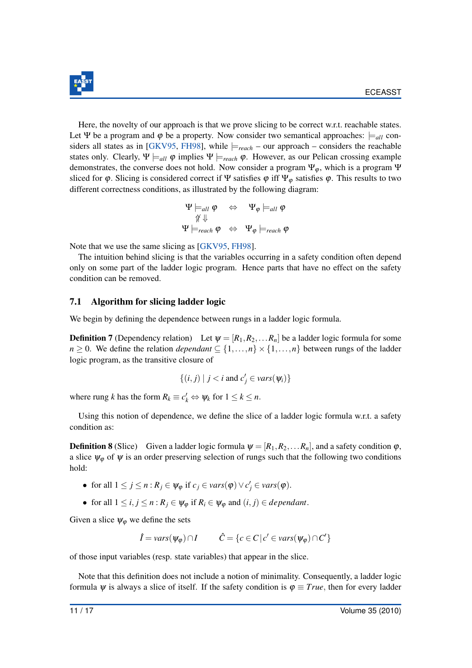

Here, the novelty of our approach is that we prove slicing to be correct w.r.t. reachable states. Let Ψ be a program and  $\varphi$  be a property. Now consider two semantical approaches:  $\models$ <sub>*all*</sub> con-siders all states as in [\[GKV95,](#page-17-5) [FH98\]](#page-16-3), while  $\models_{reach}$  – our approach – considers the reachable states only. Clearly,  $\Psi \models_{all} \varphi$  implies  $\Psi \models_{reach} \varphi$ . However, as our Pelican crossing example demonstrates, the converse does not hold. Now consider a program  $\Psi_{\varphi}$ , which is a program  $\Psi$ sliced for  $\varphi$ . Slicing is considered correct if Ψ satisfies  $\varphi$  iff Ψ<sub> $\varphi$ </sub> satisfies  $\varphi$ . This results to two different correctness conditions, as illustrated by the following diagram:

Ψ |=*all* ϕ ⇔ Ψ<sup>ϕ</sup> |=*all* ϕ 6⇑ ⇓ Ψ |=*reach* ϕ ⇔ Ψ<sup>ϕ</sup> |=*reach* ϕ

Note that we use the same slicing as [\[GKV95,](#page-17-5) [FH98\]](#page-16-3).

The intuition behind slicing is that the variables occurring in a safety condition often depend only on some part of the ladder logic program. Hence parts that have no effect on the safety condition can be removed.

#### 7.1 Algorithm for slicing ladder logic

We begin by defining the dependence between rungs in a ladder logic formula.

**Definition 7** (Dependency relation) Let  $\psi = [R_1, R_2, \dots, R_n]$  be a ladder logic formula for some *n*  $\geq$  0. We define the relation *dependant*  $\subseteq$  {1,...,*n*}  $\times$  {1,...,*n*} between rungs of the ladder logic program, as the transitive closure of

$$
\{(i,j) \mid j < i \text{ and } c'_j \in vars(\psi_i)\}
$$

where rung *k* has the form  $R_k \equiv c'_k \Leftrightarrow \psi_k$  for  $1 \leq k \leq n$ .

Using this notion of dependence, we define the slice of a ladder logic formula w.r.t. a safety condition as:

<span id="page-11-0"></span>**Definition 8** (Slice) Given a ladder logic formula  $\psi = [R_1, R_2, \dots, R_n]$ , and a safety condition  $\varphi$ , a slice  $\psi_{\varphi}$  of  $\psi$  is an order preserving selection of rungs such that the following two conditions hold:

- for all  $1 \leq j \leq n : R_j \in \psi_\varphi$  if  $c_j \in vars(\varphi) \vee c'_j \in vars(\varphi)$ .
- for all  $1 \le i, j \le n : R_j \in \Psi_\varphi$  if  $R_i \in \Psi_\varphi$  and  $(i, j) \in dependent$ .

Given a slice  $\psi_{\varphi}$  we define the sets

$$
\hat{I} = vars(\psi_{\varphi}) \cap I \qquad \hat{C} = \{c \in C \, | \, c' \in vars(\psi_{\varphi}) \cap C'\}
$$

of those input variables (resp. state variables) that appear in the slice.

Note that this definition does not include a notion of minimality. Consequently, a ladder logic formula  $\psi$  is always a slice of itself. If the safety condition is  $\varphi \equiv True$ , then for every ladder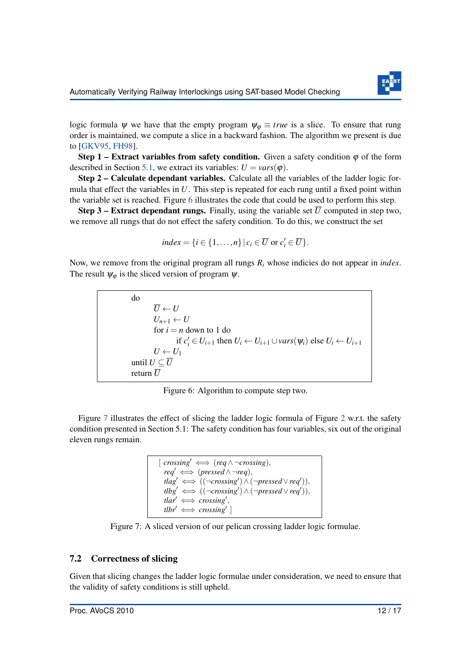

logic formula  $\psi$  we have that the empty program  $\psi_{\varphi} \equiv true$  is a slice. To ensure that rung order is maintained, we compute a slice in a backward fashion. The algorithm we present is due to [\[GKV95,](#page-17-5) [FH98\]](#page-16-3).

Step 1 – Extract variables from safety condition. Given a safety condition  $\varphi$  of the form described in Section [5.1,](#page-7-1) we extract its variables:  $U = \text{vars}(\phi)$ .

Step 2 – Calculate dependant variables. Calculate all the variables of the ladder logic formula that effect the variables in *U*. This step is repeated for each rung until a fixed point within the variable set is reached. Figure [6](#page-12-0) illustrates the code that could be used to perform this step.

**Step 3 – Extract dependant rungs.** Finally, using the variable set  $\overline{U}$  computed in step two, we remove all rungs that do not effect the safety condition. To do this, we construct the set

$$
index = \{i \in \{1, \ldots, n\} \mid c_i \in \overline{U} \text{ or } c'_i \in \overline{U}\}.
$$

<span id="page-12-0"></span>Now, we remove from the original program all rungs *R<sup>i</sup>* whose indicies do not appear in *index*. The result  $\psi_{\varphi}$  is the sliced version of program  $\psi$ .

do  
\n
$$
\overline{U} \leftarrow U
$$
\n
$$
U_{n+1} \leftarrow U
$$
\nfor *i* = *n* down to 1 do  
\nif *c'\_i* ∈ *U\_{i+1}* then *U\_i* ← *U\_{i+1}* ∪ *vars*(*ψ\_i*) else *U\_i* ← *U\_{i+1}*  
\n*U* ← *U\_1*  
\nuntil *U* ⊆  $\overline{U}$   
\nreturn  $\overline{U}$ 

Figure 6: Algorithm to compute step two.

<span id="page-12-1"></span>Figure [7](#page-12-1) illustrates the effect of slicing the ladder logic formula of Figure [2](#page-4-1) w.r.t. the safety condition presented in Section 5.1: The safety condition has four variables, six out of the original eleven rungs remain.

```
[crossing' \iff (req \land \neg crossing),req' \iff (pressed \land \neg req),\mathit{flag}' \iff ((\neg crossing') \land (\neg pressed \lor \neg p)),
  t\ell bg' \iff ((\neg crossing') \land (\neg pressed \lor req')),
  tlar' \iff crossing',tlbr' \iff crossing'
```
Figure 7: A sliced version of our pelican crossing ladder logic formulae.

#### 7.2 Correctness of slicing

Given that slicing changes the ladder logic formulae under consideration, we need to ensure that the validity of safety conditions is still upheld.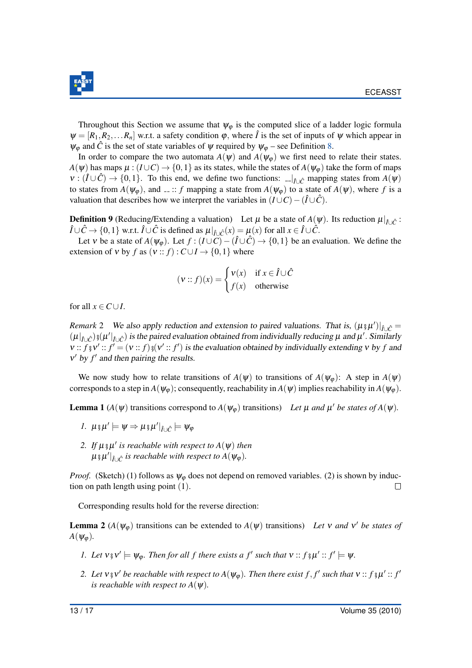

Throughout this Section we assume that  $\psi_{\varphi}$  is the computed slice of a ladder logic formula  $\Psi = [R_1, R_2, \dots R_n]$  w.r.t. a safety condition  $\varphi$ , where  $\hat{I}$  is the set of inputs of  $\Psi$  which appear in  $\psi_{\varphi}$  and  $\hat{C}$  is the set of state variables of  $\psi$  required by  $\psi_{\varphi}$  – see Definition [8.](#page-11-0)

In order to compare the two automata  $A(\psi)$  and  $A(\psi_{\varphi})$  we first need to relate their states.  $A(\psi)$  has maps  $\mu: (I \cup C) \to \{0,1\}$  as its states, while the states of  $A(\psi_{\varphi})$  take the form of maps  $v : (\hat{I} \cup \hat{C}) \to \{0,1\}$ . To this end, we define two functions:  $\Box |_{\hat{I} \cup \hat{C}}$  mapping states from  $A(\psi)$ to states from  $A(\psi_{\varphi})$ , and  $\ldots$ : *f* mapping a state from  $A(\psi_{\varphi})$  to a state of  $A(\psi)$ , where *f* is a valuation that describes how we interpret the variables in  $(I \cup C) - (\hat{I} \cup \hat{C})$ .

**Definition 9** (Reducing/Extending a valuation) Let  $\mu$  be a state of  $A(\psi)$ . Its reduction  $\mu|_{\hat{I}\cup\hat{C}}$ :  $\hat{I} \cup \hat{C}$  → {0,1} w.r.t.  $\hat{I} \cup \hat{C}$  is defined as  $\mu|_{\hat{I} \cup \hat{C}}(x) = \mu(x)$  for all  $x \in \hat{I} \cup \hat{C}$ .

Let v be a state of  $A(\psi_{\varphi})$ . Let  $f : (I \cup C) - (\hat{I} \cup \hat{C}) \rightarrow \{0,1\}$  be an evaluation. We define the extension of *v* by *f* as  $(v:: f): C \cup I \rightarrow \{0, 1\}$  where

$$
(\mathbf{v}:: f)(x) = \begin{cases} \mathbf{v}(x) & \text{if } x \in \hat{I} \cup \hat{C} \\ f(x) & \text{otherwise} \end{cases}
$$

for all  $x \in C \cup I$ .

*Remark* 2 We also apply reduction and extension to paired valuations. That is,  $(\mu \hat{\mu})|_{\hat{I}\cup\hat{C}} =$  $(\mu|_{\hat{I}\cup\hat{C}})$  s $(\mu'|_{\hat{I}\cup\hat{C}})$  is the paired evaluation obtained from individually reducing  $\mu$  and  $\mu'$ . Similarly  $v: f \circ v' : f' = (v : f) \circ (v' : f')$  is the evaluation obtained by individually extending v by f and  $v'$  by  $f'$  and then pairing the results.

We now study how to relate transitions of  $A(\psi)$  to transitions of  $A(\psi_{\varphi})$ : A step in  $A(\psi)$ corresponds to a step in  $A(\psi_{\varphi})$ ; consequently, reachability in  $A(\psi)$  implies reachability in  $A(\psi_{\varphi})$ .

<span id="page-13-0"></span>**Lemma 1** ( $A(\psi)$  transitions correspond to  $A(\psi_{\varphi})$  transitions) *Let*  $\mu$  *and*  $\mu'$  *be states of*  $A(\psi)$ *.* 

$$
I. \ \mu_{\mathfrak{F}} \mu' \models \psi \Rightarrow \mu_{\mathfrak{F}} \mu'|_{\hat{I} \cup \hat{C}} \models \psi_{\varphi}
$$

2. If  $\mu$   $_{3}\mu'$  is reachable with respect to  $A(\psi)$  then  $\mu$  ș $\mu' |_{\hat{I}\cup \hat{C}}$  is reachable with respect to  $A(\psi_\phi).$ 

*Proof.* (Sketch) (1) follows as  $\psi_{\omega}$  does not depend on removed variables. (2) is shown by induction on path length using point (1).  $\Box$ 

Corresponding results hold for the reverse direction:

<span id="page-13-1"></span>**Lemma 2** ( $A(\psi_{\varphi})$  transitions can be extended to  $A(\psi)$  transitions) *Let* v *and* v' *be states of*  $A(\psi_{\varphi})$ .

- *1.* Let  $v \circ v' \models \psi_{\varphi}$ . Then for all f there exists a f' such that  $v :: f \circ \mu' :: f' \models \psi$ .
- 2. Let  $v$   $v$   $v'$  be reachable with respect to  $A(\psi_{\varphi})$ . Then there exist  $f, f'$  such that  $v$  ::  $f$   $v$   $\mu'$  ::  $f'$ *is reachable with respect to A(* $\psi$ *).*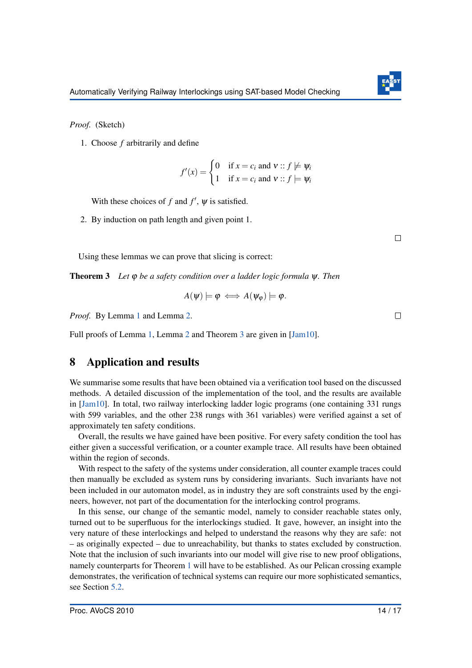

*Proof.* (Sketch)

1. Choose *f* arbitrarily and define

$$
f'(x) = \begin{cases} 0 & \text{if } x = c_i \text{ and } v :: f \not\models \psi_i \\ 1 & \text{if } x = c_i \text{ and } v :: f \models \psi_i \end{cases}
$$

With these choices of  $f$  and  $f'$ ,  $\psi$  is satisfied.

2. By induction on path length and given point 1.

 $\Box$ 

 $\Box$ 

Using these lemmas we can prove that slicing is correct:

<span id="page-14-1"></span>Theorem 3 *Let* ϕ *be a safety condition over a ladder logic formula* ψ*. Then*

$$
A(\psi) \models \varphi \iff A(\psi_{\varphi}) \models \varphi.
$$

*Proof.* By Lemma [1](#page-13-0) and Lemma [2.](#page-13-1)

Full proofs of Lemma [1,](#page-13-0) Lemma [2](#page-13-1) and Theorem [3](#page-14-1) are given in [\[Jam10\]](#page-17-8).

# <span id="page-14-0"></span>8 Application and results

We summarise some results that have been obtained via a verification tool based on the discussed methods. A detailed discussion of the implementation of the tool, and the results are available in  $[Jam10]$ . In total, two railway interlocking ladder logic programs (one containing 331 rungs with 599 variables, and the other 238 rungs with 361 variables) were verified against a set of approximately ten safety conditions.

Overall, the results we have gained have been positive. For every safety condition the tool has either given a successful verification, or a counter example trace. All results have been obtained within the region of seconds.

With respect to the safety of the systems under consideration, all counter example traces could then manually be excluded as system runs by considering invariants. Such invariants have not been included in our automaton model, as in industry they are soft constraints used by the engineers, however, not part of the documentation for the interlocking control programs.

In this sense, our change of the semantic model, namely to consider reachable states only, turned out to be superfluous for the interlockings studied. It gave, however, an insight into the very nature of these interlockings and helped to understand the reasons why they are safe: not – as originally expected – due to unreachability, but thanks to states excluded by construction. Note that the inclusion of such invariants into our model will give rise to new proof obligations, namely counterparts for Theorem [1](#page-6-0) will have to be established. As our Pelican crossing example demonstrates, the verification of technical systems can require our more sophisticated semantics, see Section [5.2.](#page-7-2)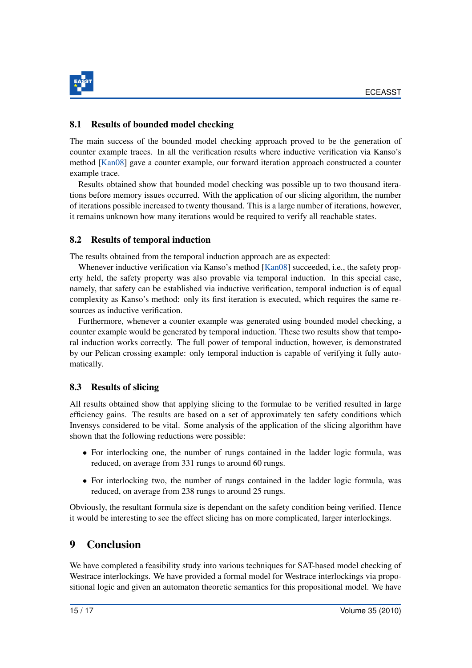

### 8.1 Results of bounded model checking

The main success of the bounded model checking approach proved to be the generation of counter example traces. In all the verification results where inductive verification via Kanso's method [\[Kan08\]](#page-17-11) gave a counter example, our forward iteration approach constructed a counter example trace.

Results obtained show that bounded model checking was possible up to two thousand iterations before memory issues occurred. With the application of our slicing algorithm, the number of iterations possible increased to twenty thousand. This is a large number of iterations, however, it remains unknown how many iterations would be required to verify all reachable states.

### 8.2 Results of temporal induction

The results obtained from the temporal induction approach are as expected:

Whenever inductive verification via Kanso's method [\[Kan08\]](#page-17-11) succeeded, i.e., the safety property held, the safety property was also provable via temporal induction. In this special case, namely, that safety can be established via inductive verification, temporal induction is of equal complexity as Kanso's method: only its first iteration is executed, which requires the same resources as inductive verification.

Furthermore, whenever a counter example was generated using bounded model checking, a counter example would be generated by temporal induction. These two results show that temporal induction works correctly. The full power of temporal induction, however, is demonstrated by our Pelican crossing example: only temporal induction is capable of verifying it fully automatically.

# 8.3 Results of slicing

All results obtained show that applying slicing to the formulae to be verified resulted in large efficiency gains. The results are based on a set of approximately ten safety conditions which Invensys considered to be vital. Some analysis of the application of the slicing algorithm have shown that the following reductions were possible:

- For interlocking one, the number of rungs contained in the ladder logic formula, was reduced, on average from 331 rungs to around 60 rungs.
- For interlocking two, the number of rungs contained in the ladder logic formula, was reduced, on average from 238 rungs to around 25 rungs.

Obviously, the resultant formula size is dependant on the safety condition being verified. Hence it would be interesting to see the effect slicing has on more complicated, larger interlockings.

# 9 Conclusion

We have completed a feasibility study into various techniques for SAT-based model checking of Westrace interlockings. We have provided a formal model for Westrace interlockings via propositional logic and given an automaton theoretic semantics for this propositional model. We have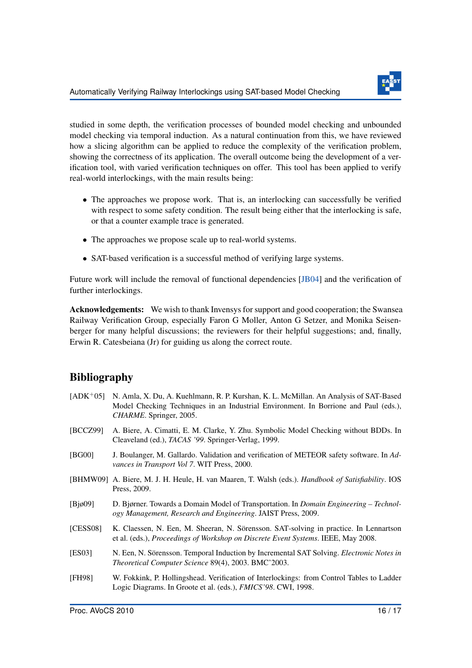

studied in some depth, the verification processes of bounded model checking and unbounded model checking via temporal induction. As a natural continuation from this, we have reviewed how a slicing algorithm can be applied to reduce the complexity of the verification problem, showing the correctness of its application. The overall outcome being the development of a verification tool, with varied verification techniques on offer. This tool has been applied to verify real-world interlockings, with the main results being:

- The approaches we propose work. That is, an interlocking can successfully be verified with respect to some safety condition. The result being either that the interlocking is safe, or that a counter example trace is generated.
- The approaches we propose scale up to real-world systems.
- SAT-based verification is a successful method of verifying large systems.

Future work will include the removal of functional dependencies [\[JB04\]](#page-17-13) and the verification of further interlockings.

Acknowledgements: We wish to thank Invensys for support and good cooperation; the Swansea Railway Verification Group, especially Faron G Moller, Anton G Setzer, and Monika Seisenberger for many helpful discussions; the reviewers for their helpful suggestions; and, finally, Erwin R. Catesbeiana (Jr) for guiding us along the correct route.

# Bibliography

- <span id="page-16-6"></span>[ADK+05] N. Amla, X. Du, A. Kuehlmann, R. P. Kurshan, K. L. McMillan. An Analysis of SAT-Based Model Checking Techniques in an Industrial Environment. In Borrione and Paul (eds.), *CHARME*. Springer, 2005.
- <span id="page-16-4"></span>[BCCZ99] A. Biere, A. Cimatti, E. M. Clarke, Y. Zhu. Symbolic Model Checking without BDDs. In Cleaveland (ed.), *TACAS '99*. Springer-Verlag, 1999.
- <span id="page-16-1"></span>[BG00] J. Boulanger, M. Gallardo. Validation and verification of METEOR safety software. In *Advances in Transport Vol 7*. WIT Press, 2000.
- <span id="page-16-2"></span>[BHMW09] A. Biere, M. J. H. Heule, H. van Maaren, T. Walsh (eds.). *Handbook of Satisfiability*. IOS Press, 2009.
- <span id="page-16-0"></span>[Bjø09] D. Bjørner. Towards a Domain Model of Transportation. In *Domain Engineering – Technology Management, Research and Engineering*. JAIST Press, 2009.
- <span id="page-16-5"></span>[CESS08] K. Claessen, N. Een, M. Sheeran, N. Sörensson. SAT-solving in practice. In Lennartson et al. (eds.), *Proceedings of Workshop on Discrete Event Systems*. IEEE, May 2008.
- <span id="page-16-7"></span>[ES03] N. Een, N. Sörensson. Temporal Induction by Incremental SAT Solving. *Electronic Notes in Theoretical Computer Science* 89(4), 2003. BMC'2003.
- <span id="page-16-3"></span>[FH98] W. Fokkink, P. Hollingshead. Verification of Interlockings: from Control Tables to Ladder Logic Diagrams. In Groote et al. (eds.), *FMICS'98*. CWI, 1998.